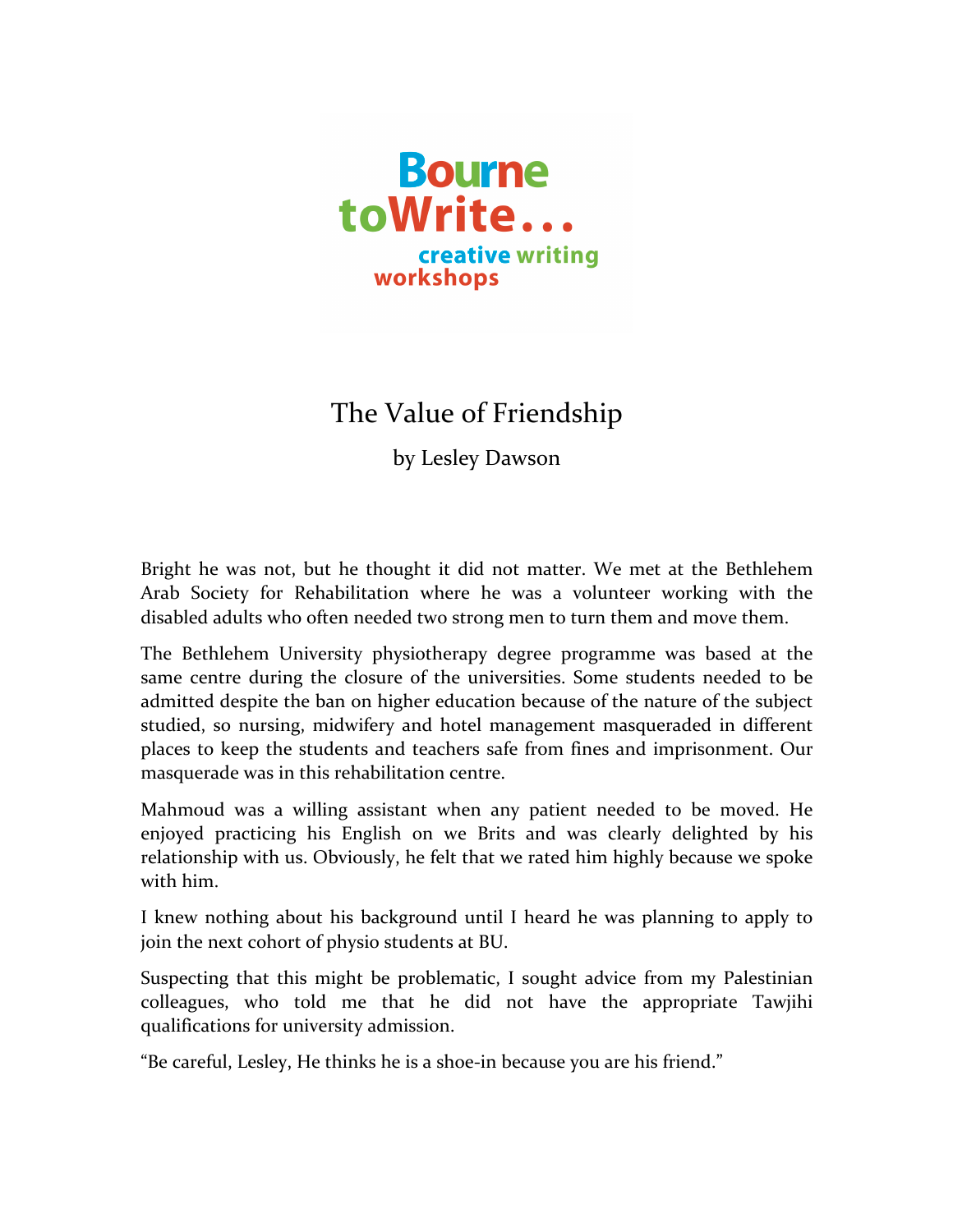

## The Value of Friendship

by Lesley Dawson

Bright he was not, but he thought it did not matter. We met at the Bethlehem Arab Society for Rehabilitation where he was a volunteer working with the disabled adults who often needed two strong men to turn them and move them.

The Bethlehem University physiotherapy degree programme was based at the same centre during the closure of the universities. Some students needed to be admitted despite the ban on higher education because of the nature of the subject studied, so nursing, midwifery and hotel management masqueraded in different places to keep the students and teachers safe from fines and imprisonment. Our masquerade was in this rehabilitation centre.

Mahmoud was a willing assistant when any patient needed to be moved. He enjoyed practicing his English on we Brits and was clearly delighted by his relationship with us. Obviously, he felt that we rated him highly because we spoke with him.

I knew nothing about his background until I heard he was planning to apply to join the next cohort of physio students at BU.

Suspecting that this might be problematic, I sought advice from my Palestinian colleagues, who told me that he did not have the appropriate Tawjihi qualifications for university admission.

"Be careful, Lesley, He thinks he is a shoe-in because you are his friend."